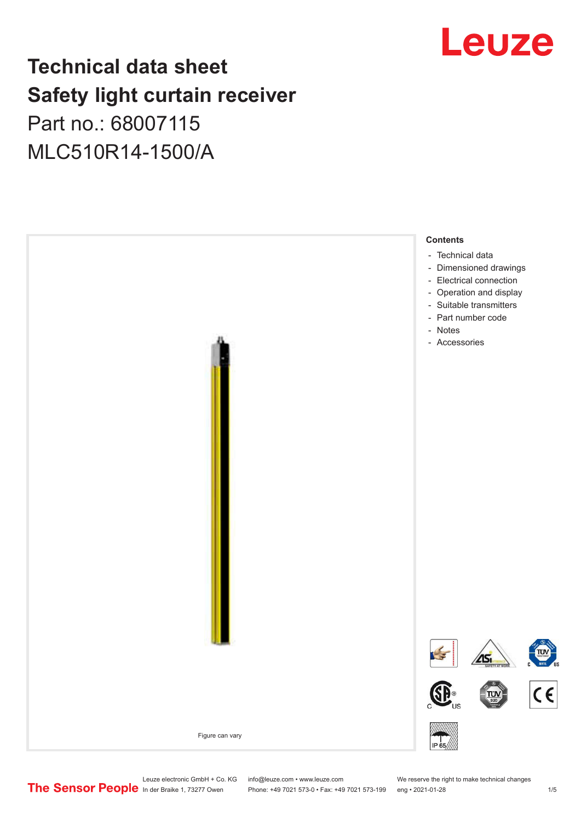# Leuze

## **Technical data sheet Safety light curtain receiver**

## Part no.: 68007115 MLC510R14-1500/A



Leuze electronic GmbH + Co. KG info@leuze.com • www.leuze.com We reserve the right to make technical changes<br>
The Sensor People in der Braike 1, 73277 Owen Phone: +49 7021 573-0 • Fax: +49 7021 573-199 eng • 2021-01-28

Phone: +49 7021 573-0 • Fax: +49 7021 573-199 eng • 2021-01-28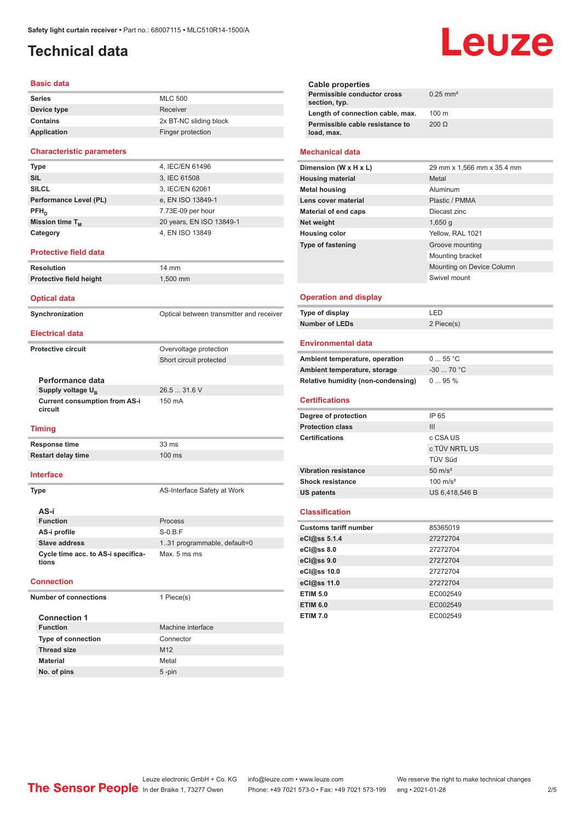## <span id="page-1-0"></span>**Technical data**

### **Basic data**

| Series          | <b>MLC 500</b>         |
|-----------------|------------------------|
| Device type     | Receiver               |
| <b>Contains</b> | 2x BT-NC sliding block |
| Application     | Finger protection      |

### **Characteristic parameters**

| 4, IEC/EN 61496          |
|--------------------------|
| 3, IEC 61508             |
| 3, IEC/EN 62061          |
| e, EN ISO 13849-1        |
| 7.73E-09 per hour        |
| 20 years, EN ISO 13849-1 |
| 4, EN ISO 13849          |
|                          |

### **Protective field data**

| <b>Resolution</b>       | 14 mm      |
|-------------------------|------------|
| Protective field height | $1.500$ mm |

### **Optical data**

**Synchronization Synchronization** Optical between transmitter and receiver

Short circuit protected

26.5 ... 31.6 V

150 mA

### **Electrical data**

**Protective circuit COVER COVER COVER COVER COVER COVER COVER COVER COVER COVER COVER COVER COVER COVER COVER** 

**Performance data Supply voltage U<sub>B</sub> Current consumption from AS-i circuit**

#### **Timing**

**Response time** 33 ms **Restart delay time** 100 ms

### **Interface**

**Type** AS-Interface Safety at Work

| AS-i                                        |                              |
|---------------------------------------------|------------------------------|
| <b>Function</b>                             | Process                      |
| AS-i profile                                | $S-0.B.F$                    |
| Slave address                               | 1.31 programmable, default=0 |
| Cycle time acc. to AS-i specifica-<br>tions | Max. 5 ms ms                 |

### **Connection**

**Number of connections** 1 Piece(s)

| <b>Connection 1</b>       |                   |
|---------------------------|-------------------|
| <b>Function</b>           | Machine interface |
| <b>Type of connection</b> | Connector         |
| <b>Thread size</b>        | M <sub>12</sub>   |
| <b>Material</b>           | Metal             |
| No. of pins               | $5 - pin$         |

**Cable properties Permissible conductor cross section, typ.** 0.25 mm² **Length of connection cable, max.** 100 m **Permissible cable resistance to load, max.** 200 Ω

### **Mechanical data**

| Dimension (W x H x L)       | 29 mm x 1,566 mm x 35.4 mm |
|-----------------------------|----------------------------|
| <b>Housing material</b>     | Metal                      |
| <b>Metal housing</b>        | Aluminum                   |
| Lens cover material         | Plastic / PMMA             |
| <b>Material of end caps</b> | Diecast zinc               |
| Net weight                  | 1,650q                     |
| <b>Housing color</b>        | Yellow, RAL 1021           |
| <b>Type of fastening</b>    | Groove mounting            |
|                             | Mounting bracket           |
|                             | Mounting on Device Column  |
|                             | Swivel mount               |
|                             |                            |

### **Operation and display**

| Type of display | ת FD.      |
|-----------------|------------|
| Number of LEDs  | 2 Piece(s) |

### **Environmental data**

| Ambient temperature, operation     | 055 °C     |
|------------------------------------|------------|
| Ambient temperature, storage       | $-3070 °C$ |
| Relative humidity (non-condensing) | $095\%$    |

### **Certifications**

| Degree of protection        | IP 65               |
|-----------------------------|---------------------|
| <b>Protection class</b>     | Ш                   |
| <b>Certifications</b>       | c CSA US            |
|                             | c TÜV NRTL US       |
|                             | <b>TÜV Süd</b>      |
| <b>Vibration resistance</b> | $50 \text{ m/s}^2$  |
| <b>Shock resistance</b>     | $100 \text{ m/s}^2$ |
| <b>US patents</b>           | US 6,418,546 B      |

### **Classification**

| <b>Customs tariff number</b> | 85365019 |
|------------------------------|----------|
| eCl@ss 5.1.4                 | 27272704 |
| eCl@ss 8.0                   | 27272704 |
| eCl@ss 9.0                   | 27272704 |
| eCl@ss 10.0                  | 27272704 |
| eCl@ss 11.0                  | 27272704 |
| <b>ETIM 5.0</b>              | EC002549 |
| <b>ETIM 6.0</b>              | EC002549 |
| <b>ETIM 7.0</b>              | EC002549 |

# Leuze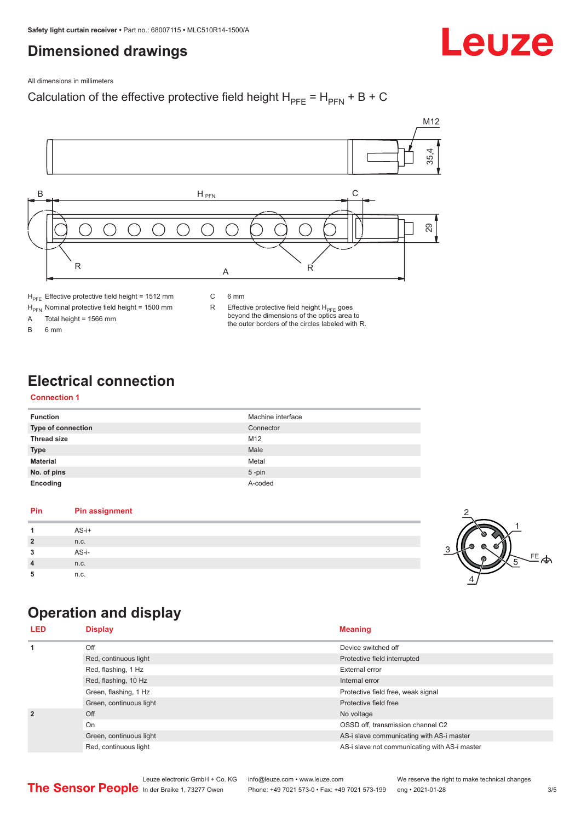## <span id="page-2-0"></span>**Dimensioned drawings**

Leuze

All dimensions in millimeters

### Calculation of the effective protective field height  $H_{PFE} = H_{PFN} + B + C$



 $H<sub>PE</sub>$  Effective protective field height = 1512 mm

 $H_{\text{PFN}}$  Nominal protective field height = 1500 mm<br>A Total height = 1566 mm

Total height =  $1566$  mm

B 6 mm

C 6 mm

R Effective protective field height  $H_{PFE}$  goes beyond the dimensions of the optics area to the outer borders of the circles labeled with R.

## **Electrical connection**

### **Connection 1**

| <b>Function</b>           | Machine interface |
|---------------------------|-------------------|
| <b>Type of connection</b> | Connector         |
| <b>Thread size</b>        | M <sub>12</sub>   |
| <b>Type</b>               | Male              |
| <b>Material</b>           | Metal             |
| No. of pins               | $5$ -pin          |
| Encoding                  | A-coded           |

### **Pin Pin assignment 1** AS-i+ **2** n.c. **3** AS-i-**4** n.c. **5** n.c.



## **Operation and display**

| <b>LED</b>                                                           | <b>Display</b>          | <b>Meaning</b>                                |
|----------------------------------------------------------------------|-------------------------|-----------------------------------------------|
| $\mathbf{1}$                                                         | Off                     | Device switched off                           |
|                                                                      | Red, continuous light   | Protective field interrupted                  |
| Red, flashing, 1 Hz<br>Red, flashing, 10 Hz<br>Green, flashing, 1 Hz |                         | External error                                |
|                                                                      |                         | Internal error                                |
|                                                                      |                         | Protective field free, weak signal            |
|                                                                      | Green, continuous light | Protective field free                         |
| $\overline{2}$                                                       | Off                     | No voltage                                    |
|                                                                      | On                      | OSSD off, transmission channel C2             |
|                                                                      | Green, continuous light | AS-i slave communicating with AS-i master     |
|                                                                      | Red, continuous light   | AS-i slave not communicating with AS-i master |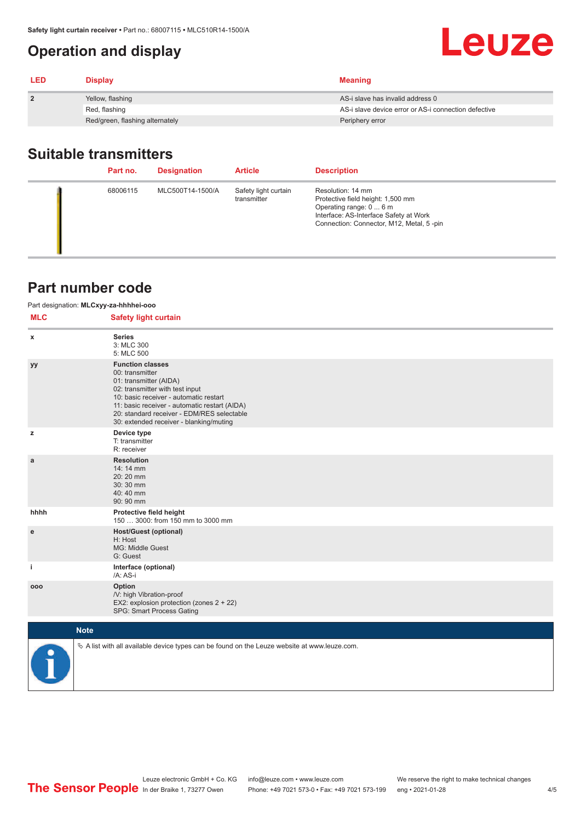## <span id="page-3-0"></span>**Operation and display**

| <b>LED</b>     | <b>Display</b>                  | <b>Meaning</b>                                       |
|----------------|---------------------------------|------------------------------------------------------|
| $\overline{2}$ | Yellow, flashing                | AS-i slave has invalid address 0                     |
|                | Red, flashing                   | AS-i slave device error or AS-i connection defective |
|                | Red/green, flashing alternately | Periphery error                                      |

## **Suitable transmitters**

| Part no. | <b>Designation</b> | <b>Article</b>                      | <b>Description</b>                                                                                                                                                      |
|----------|--------------------|-------------------------------------|-------------------------------------------------------------------------------------------------------------------------------------------------------------------------|
| 68006115 | MLC500T14-1500/A   | Safety light curtain<br>transmitter | Resolution: 14 mm<br>Protective field height: 1,500 mm<br>Operating range: 0  6 m<br>Interface: AS-Interface Safety at Work<br>Connection: Connector, M12, Metal, 5-pin |

## **Part number code**

| Part designation: MLCxyy-za-hhhhei-ooo |                                                                                                                                                                                                                                                                                             |  |  |  |
|----------------------------------------|---------------------------------------------------------------------------------------------------------------------------------------------------------------------------------------------------------------------------------------------------------------------------------------------|--|--|--|
| <b>MLC</b>                             | <b>Safety light curtain</b>                                                                                                                                                                                                                                                                 |  |  |  |
| x                                      | <b>Series</b><br>3: MLC 300<br>5: MLC 500                                                                                                                                                                                                                                                   |  |  |  |
| уу                                     | <b>Function classes</b><br>00: transmitter<br>01: transmitter (AIDA)<br>02: transmitter with test input<br>10: basic receiver - automatic restart<br>11: basic receiver - automatic restart (AIDA)<br>20: standard receiver - EDM/RES selectable<br>30: extended receiver - blanking/muting |  |  |  |
| z                                      | Device type<br>T: transmitter<br>R: receiver                                                                                                                                                                                                                                                |  |  |  |
| a                                      | <b>Resolution</b><br>14:14 mm<br>20:20 mm<br>30:30 mm<br>40:40 mm<br>90: 90 mm                                                                                                                                                                                                              |  |  |  |
| hhhh                                   | Protective field height<br>150  3000: from 150 mm to 3000 mm                                                                                                                                                                                                                                |  |  |  |
| ${\bf e}$                              | <b>Host/Guest (optional)</b><br>H: Host<br>MG: Middle Guest<br>G: Guest                                                                                                                                                                                                                     |  |  |  |
| j.                                     | Interface (optional)<br>/A: AS-i                                                                                                                                                                                                                                                            |  |  |  |
| 000                                    | Option<br>/V: high Vibration-proof<br>EX2: explosion protection (zones 2 + 22)<br>SPG: Smart Process Gating                                                                                                                                                                                 |  |  |  |
|                                        | <b>Note</b>                                                                                                                                                                                                                                                                                 |  |  |  |
|                                        | $\&$ A list with all available device types can be found on the Leuze website at www.leuze.com.                                                                                                                                                                                             |  |  |  |

Leuze